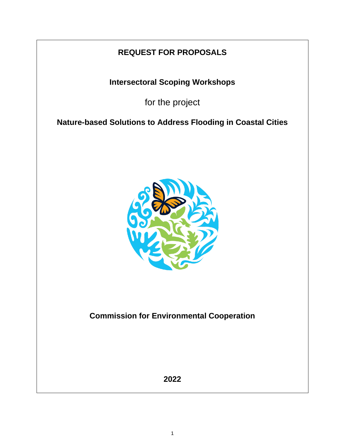# **REQUEST FOR PROPOSALS**

**Intersectoral Scoping Workshops**

for the project

**Nature-based Solutions to Address Flooding in Coastal Cities**



**Commission for Environmental Cooperation**

**2022**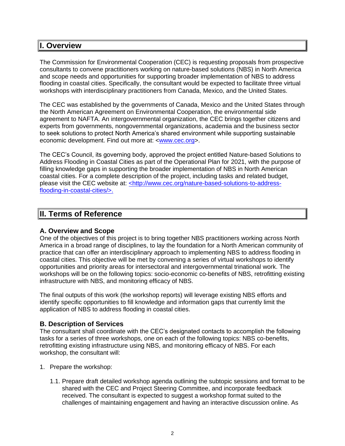## **I. Overview**

The Commission for Environmental Cooperation (CEC) is requesting proposals from prospective consultants to convene practitioners working on nature-based solutions (NBS) in North America and scope needs and opportunities for supporting broader implementation of NBS to address flooding in coastal cities. Specifically, the consultant would be expected to facilitate three virtual workshops with interdisciplinary practitioners from Canada, Mexico, and the United States.

The CEC was established by the governments of Canada, Mexico and the United States through the North American Agreement on Environmental Cooperation, the environmental side agreement to NAFTA. An intergovernmental organization, the CEC brings together citizens and experts from governments, nongovernmental organizations, academia and the business sector to seek solutions to protect North America's shared environment while supporting sustainable economic development. Find out more at: [<www.cec.org>](http://www.cec.org/).

The CEC's Council, its governing body, approved the project entitled Nature-based Solutions to Address Flooding in Coastal Cities as part of the Operational Plan for 2021, with the purpose of filling knowledge gaps in supporting the broader implementation of NBS in North American coastal cities. For a complete description of the project, including tasks and related budget, please visit the CEC website at: [<http://www.cec.org/nature-based-solutions-to-address](file:///C:/Users/ngoni/Downloads/%3chttp:/www.cec.org/nature-based-solutions-to-address-flooding-in-coastal-cities/%3e)[flooding-in-coastal-cities/>.](file:///C:/Users/ngoni/Downloads/%3chttp:/www.cec.org/nature-based-solutions-to-address-flooding-in-coastal-cities/%3e)

# **II. Terms of Reference**

## **A. Overview and Scope**

One of the objectives of this project is to bring together NBS practitioners working across North America in a broad range of disciplines, to lay the foundation for a North American community of practice that can offer an interdisciplinary approach to implementing NBS to address flooding in coastal cities. This objective will be met by convening a series of virtual workshops to identify opportunities and priority areas for intersectoral and intergovernmental trinational work. The workshops will be on the following topics: socio-economic co-benefits of NBS, retrofitting existing infrastructure with NBS, and monitoring efficacy of NBS.

The final outputs of this work (the workshop reports) will leverage existing NBS efforts and identify specific opportunities to fill knowledge and information gaps that currently limit the application of NBS to address flooding in coastal cities.

## **B. Description of Services**

The consultant shall coordinate with the CEC's designated contacts to accomplish the following tasks for a series of three workshops, one on each of the following topics: NBS co-benefits, retrofitting existing infrastructure using NBS, and monitoring efficacy of NBS. For each workshop, the consultant will:

- 1. Prepare the workshop:
	- 1.1. Prepare draft detailed workshop agenda outlining the subtopic sessions and format to be shared with the CEC and Project Steering Committee, and incorporate feedback received. The consultant is expected to suggest a workshop format suited to the challenges of maintaining engagement and having an interactive discussion online. As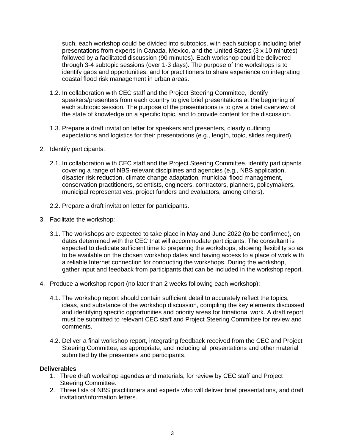such, each workshop could be divided into subtopics, with each subtopic including brief presentations from experts in Canada, Mexico, and the United States (3 x 10 minutes) followed by a facilitated discussion (90 minutes). Each workshop could be delivered through 3-4 subtopic sessions (over 1-3 days). The purpose of the workshops is to identify gaps and opportunities, and for practitioners to share experience on integrating coastal flood risk management in urban areas.

- 1.2. In collaboration with CEC staff and the Project Steering Committee, identify speakers/presenters from each country to give brief presentations at the beginning of each subtopic session. The purpose of the presentations is to give a brief overview of the state of knowledge on a specific topic, and to provide content for the discussion.
- 1.3. Prepare a draft invitation letter for speakers and presenters, clearly outlining expectations and logistics for their presentations (e.g., length, topic, slides required).
- 2. Identify participants:
	- 2.1. In collaboration with CEC staff and the Project Steering Committee, identify participants covering a range of NBS-relevant disciplines and agencies (e.g., NBS application, disaster risk reduction, climate change adaptation, municipal flood management, conservation practitioners, scientists, engineers, contractors, planners, policymakers, municipal representatives, project funders and evaluators, among others).
	- 2.2. Prepare a draft invitation letter for participants.
- 3. Facilitate the workshop:
	- 3.1. The workshops are expected to take place in May and June 2022 (to be confirmed), on dates determined with the CEC that will accommodate participants. The consultant is expected to dedicate sufficient time to preparing the workshops, showing flexibility so as to be available on the chosen workshop dates and having access to a place of work with a reliable Internet connection for conducting the workshops. During the workshop, gather input and feedback from participants that can be included in the workshop report.
- 4. Produce a workshop report (no later than 2 weeks following each workshop):
	- 4.1. The workshop report should contain sufficient detail to accurately reflect the topics, ideas, and substance of the workshop discussion, compiling the key elements discussed and identifying specific opportunities and priority areas for trinational work. A draft report must be submitted to relevant CEC staff and Project Steering Committee for review and comments.
	- 4.2. Deliver a final workshop report, integrating feedback received from the CEC and Project Steering Committee, as appropriate, and including all presentations and other material submitted by the presenters and participants.

#### **Deliverables**

- 1. Three draft workshop agendas and materials, for review by CEC staff and Project Steering Committee.
- 2. Three lists of NBS practitioners and experts who will deliver brief presentations, and draft invitation/information letters.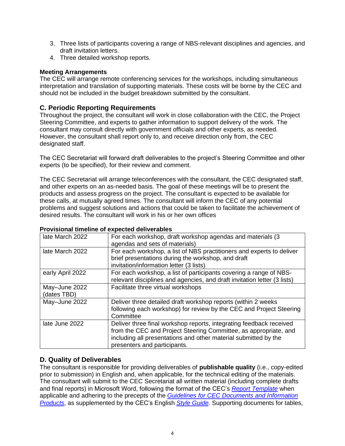- 3. Three lists of participants covering a range of NBS-relevant disciplines and agencies, and draft invitation letters.
- 4. Three detailed workshop reports.

## **Meeting Arrangements**

The CEC will arrange remote conferencing services for the workshops, including simultaneous interpretation and translation of supporting materials. These costs will be borne by the CEC and should not be included in the budget breakdown submitted by the consultant.

## **C. Periodic Reporting Requirements**

Throughout the project, the consultant will work in close collaboration with the CEC, the Project Steering Committee, and experts to gather information to support delivery of the work. The consultant may consult directly with government officials and other experts, as needed. However, the consultant shall report only to, and receive direction only from, the CEC designated staff.

The CEC Secretariat will forward draft deliverables to the project's Steering Committee and other experts (to be specified), for their review and comment.

The CEC Secretariat will arrange teleconferences with the consultant, the CEC designated staff, and other experts on an as-needed basis. The goal of these meetings will be to present the products and assess progress on the project. The consultant is expected to be available for these calls, at mutually agreed times. The consultant will inform the CEC of any potential problems and suggest solutions and actions that could be taken to facilitate the achievement of desired results. The consultant will work in his or her own offices

| Provisional timeline of expected deliverables |                                                                                                                                                                   |  |
|-----------------------------------------------|-------------------------------------------------------------------------------------------------------------------------------------------------------------------|--|
| late March 2022                               | For each workshop, draft workshop agendas and materials (3)                                                                                                       |  |
|                                               | agendas and sets of materials)                                                                                                                                    |  |
| late March 2022                               | For each workshop, a list of NBS practitioners and experts to do<br>brief presentations during the workshop, and draft<br>invitation/information letter (3 lists) |  |
|                                               |                                                                                                                                                                   |  |

#### **Provisional timeline of expected deliverables**

|                              | <b>DIDI PIODOMANOMO GUMMA MOTOMONOP, GNA GIGH</b><br>invitation/information letter (3 lists)                                                                                                                                               |
|------------------------------|--------------------------------------------------------------------------------------------------------------------------------------------------------------------------------------------------------------------------------------------|
| early April 2022             | For each workshop, a list of participants covering a range of NBS-<br>relevant disciplines and agencies, and draft invitation letter (3 lists)                                                                                             |
| May-June 2022<br>(dates TBD) | Facilitate three virtual workshops                                                                                                                                                                                                         |
| May-June 2022                | Deliver three detailed draft workshop reports (within 2 weeks<br>following each workshop) for review by the CEC and Project Steering<br>Committee                                                                                          |
| late June 2022               | Deliver three final workshop reports, integrating feedback received<br>from the CEC and Project Steering Committee, as appropriate, and<br>including all presentations and other material submitted by the<br>presenters and participants. |

experts to deliver

## **D. Quality of Deliverables**

The consultant is responsible for providing deliverables of **publishable quality** (i.e., copy-edited prior to submission) in English and, when applicable, for the technical editing of the materials. The consultant will submit to the CEC Secretariat all written material (including complete drafts and final reports) in Microsoft Word, following the format of the CEC's *[Report Template](http://www.cec.org/cec_document_template_2015-rev/)* when applicable and adhering to the precepts of the *[Guidelines for CEC Documents and Information](http://www.cec.org/guidelines-for-cec-documents/)  [Products](http://www.cec.org/guidelines-for-cec-documents/)*, as supplemented by the CEC's English *[Style Guide](http://www.cec.org/18873_style-guide/)*. Supporting documents for tables,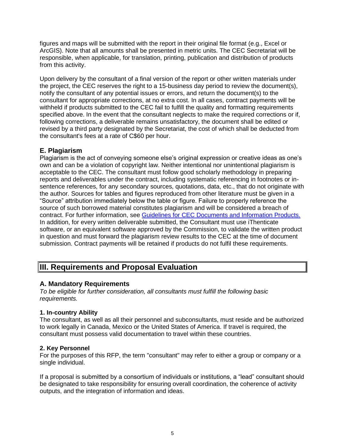figures and maps will be submitted with the report in their original file format (e.g., Excel or ArcGIS). Note that all amounts shall be presented in metric units. The CEC Secretariat will be responsible, when applicable, for translation, printing, publication and distribution of products from this activity.

Upon delivery by the consultant of a final version of the report or other written materials under the project, the CEC reserves the right to a 15-business day period to review the document(s), notify the consultant of any potential issues or errors, and return the document(s) to the consultant for appropriate corrections, at no extra cost. In all cases, contract payments will be withheld if products submitted to the CEC fail to fulfill the quality and formatting requirements specified above. In the event that the consultant neglects to make the required corrections or if, following corrections, a deliverable remains unsatisfactory, the document shall be edited or revised by a third party designated by the Secretariat, the cost of which shall be deducted from the consultant's fees at a rate of C\$60 per hour.

## **E. Plagiarism**

Plagiarism is the act of conveying someone else's original expression or creative ideas as one's own and can be a violation of copyright law. Neither intentional nor unintentional plagiarism is acceptable to the CEC. The consultant must follow good scholarly methodology in preparing reports and deliverables under the contract, including systematic referencing in footnotes or insentence references, for any secondary sources, quotations, data, etc., that do not originate with the author. Sources for tables and figures reproduced from other literature must be given in a "Source" attribution immediately below the table or figure. Failure to properly reference the source of such borrowed material constitutes plagiarism and will be considered a breach of contract. For further information, see [Guidelines for CEC Documents and Information Products.](http://www.cec.org/wp-content/uploads/guidelines-for-cec-documents.pdf) In addition, for every written deliverable submitted, the Consultant must use iThenticate software, or an equivalent software approved by the Commission, to validate the written product in question and must forward the plagiarism review results to the CEC at the time of document submission. Contract payments will be retained if products do not fulfil these requirements.

# **III. Requirements and Proposal Evaluation**

## **A. Mandatory Requirements**

*To be eligible for further consideration, all consultants must fulfill the following basic requirements.*

#### **1. In-country Ability**

The consultant, as well as all their personnel and subconsultants, must reside and be authorized to work legally in Canada, Mexico or the United States of America. If travel is required, the consultant must possess valid documentation to travel within these countries.

#### **2. Key Personnel**

For the purposes of this RFP, the term "consultant" may refer to either a group or company or a single individual.

If a proposal is submitted by a consortium of individuals or institutions, a "lead" consultant should be designated to take responsibility for ensuring overall coordination, the coherence of activity outputs, and the integration of information and ideas.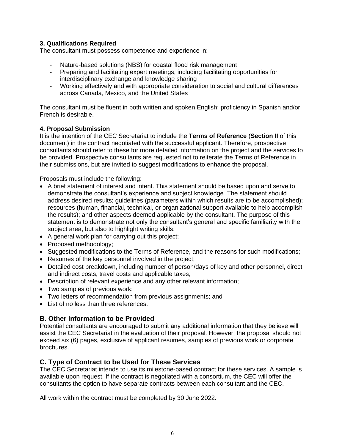## **3. Qualifications Required**

The consultant must possess competence and experience in:

- Nature-based solutions (NBS) for coastal flood risk management
- Preparing and facilitating expert meetings, including facilitating opportunities for interdisciplinary exchange and knowledge sharing
- Working effectively and with appropriate consideration to social and cultural differences across Canada, Mexico, and the United States

The consultant must be fluent in both written and spoken English; proficiency in Spanish and/or French is desirable.

#### **4. Proposal Submission**

It is the intention of the CEC Secretariat to include the **Terms of Reference** (**Section II** of this document) in the contract negotiated with the successful applicant. Therefore, prospective consultants should refer to these for more detailed information on the project and the services to be provided. Prospective consultants are requested not to reiterate the Terms of Reference in their submissions, but are invited to suggest modifications to enhance the proposal.

Proposals must include the following:

- A brief statement of interest and intent. This statement should be based upon and serve to demonstrate the consultant's experience and subject knowledge. The statement should address desired results; guidelines (parameters within which results are to be accomplished); resources (human, financial, technical, or organizational support available to help accomplish the results); and other aspects deemed applicable by the consultant. The purpose of this statement is to demonstrate not only the consultant's general and specific familiarity with the subject area, but also to highlight writing skills;
- A general work plan for carrying out this project;
- Proposed methodology;
- Suggested modifications to the Terms of Reference, and the reasons for such modifications;
- Resumes of the key personnel involved in the project;
- Detailed cost breakdown, including number of person/days of key and other personnel, direct and indirect costs, travel costs and applicable taxes;
- Description of relevant experience and any other relevant information;
- Two samples of previous work;
- Two letters of recommendation from previous assignments; and
- List of no less than three references.

#### **B. Other Information to be Provided**

Potential consultants are encouraged to submit any additional information that they believe will assist the CEC Secretariat in the evaluation of their proposal. However, the proposal should not exceed six (6) pages, exclusive of applicant resumes, samples of previous work or corporate brochures.

#### **C. Type of Contract to be Used for These Services**

The CEC Secretariat intends to use its milestone-based contract for these services. A sample is available upon request. If the contract is negotiated with a consortium, the CEC will offer the consultants the option to have separate contracts between each consultant and the CEC.

All work within the contract must be completed by 30 June 2022.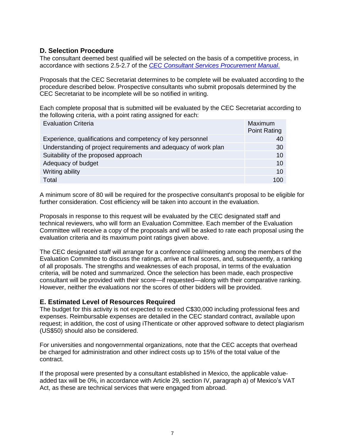## **D. Selection Procedure**

The consultant deemed best qualified will be selected on the basis of a competitive process, in accordance with sections 2.5-2.7 of the *[CEC Consultant Services Procurement Manual](http://www.cec.org/wp-content/uploads/18890_consultant_services_procurement_manual.pdf)*.

Proposals that the CEC Secretariat determines to be complete will be evaluated according to the procedure described below. Prospective consultants who submit proposals determined by the CEC Secretariat to be incomplete will be so notified in writing.

Each complete proposal that is submitted will be evaluated by the CEC Secretariat according to the following criteria, with a point rating assigned for each:

| <b>Evaluation Criteria</b>                                      | Maximum<br><b>Point Rating</b> |
|-----------------------------------------------------------------|--------------------------------|
| Experience, qualifications and competency of key personnel      | 40                             |
| Understanding of project requirements and adequacy of work plan | 30                             |
| Suitability of the proposed approach                            | 10 <sup>1</sup>                |
| Adequacy of budget                                              | 10 <sup>1</sup>                |
| Writing ability                                                 | 10 <sup>1</sup>                |
| Total                                                           | 100                            |

A minimum score of 80 will be required for the prospective consultant's proposal to be eligible for further consideration. Cost efficiency will be taken into account in the evaluation.

Proposals in response to this request will be evaluated by the CEC designated staff and technical reviewers, who will form an Evaluation Committee. Each member of the Evaluation Committee will receive a copy of the proposals and will be asked to rate each proposal using the evaluation criteria and its maximum point ratings given above.

The CEC designated staff will arrange for a conference call/meeting among the members of the Evaluation Committee to discuss the ratings, arrive at final scores, and, subsequently, a ranking of all proposals. The strengths and weaknesses of each proposal, in terms of the evaluation criteria, will be noted and summarized. Once the selection has been made, each prospective consultant will be provided with their score—if requested—along with their comparative ranking. However, neither the evaluations nor the scores of other bidders will be provided.

## **E. Estimated Level of Resources Required**

The budget for this activity is not expected to exceed C\$30,000 including professional fees and expenses. Reimbursable expenses are detailed in the CEC standard contract, available upon request; in addition, the cost of using iThenticate or other approved software to detect plagiarism (US\$50) should also be considered.

For universities and nongovernmental organizations, note that the CEC accepts that overhead be charged for administration and other indirect costs up to 15% of the total value of the contract.

If the proposal were presented by a consultant established in Mexico, the applicable valueadded tax will be 0%, in accordance with Article 29, section IV, paragraph a) of Mexico's VAT Act, as these are technical services that were engaged from abroad.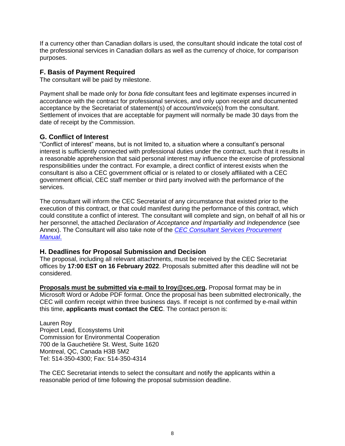If a currency other than Canadian dollars is used, the consultant should indicate the total cost of the professional services in Canadian dollars as well as the currency of choice, for comparison purposes.

## **F. Basis of Payment Required**

The consultant will be paid by milestone.

Payment shall be made only for *bona fide* consultant fees and legitimate expenses incurred in accordance with the contract for professional services, and only upon receipt and documented acceptance by the Secretariat of statement(s) of account/invoice(s) from the consultant. Settlement of invoices that are acceptable for payment will normally be made 30 days from the date of receipt by the Commission.

## **G. Conflict of Interest**

"Conflict of interest" means, but is not limited to, a situation where a consultant's personal interest is sufficiently connected with professional duties under the contract, such that it results in a reasonable apprehension that said personal interest may influence the exercise of professional responsibilities under the contract. For example, a direct conflict of interest exists when the consultant is also a CEC government official or is related to or closely affiliated with a CEC government official, CEC staff member or third party involved with the performance of the services.

The consultant will inform the CEC Secretariat of any circumstance that existed prior to the execution of this contract, or that could manifest during the performance of this contract, which could constitute a conflict of interest. The consultant will complete and sign, on behalf of all his or her personnel, the attached *Declaration of Acceptance and Impartiality and Independence* (see Annex). The Consultant will also take note of the *[CEC Consultant Services Procurement](http://www.cec.org/wp-content/uploads/18890_consultant_services_procurement_manual.pdf)  [Manual](http://www.cec.org/wp-content/uploads/18890_consultant_services_procurement_manual.pdf)*.

## **H. Deadlines for Proposal Submission and Decision**

The proposal, including all relevant attachments, must be received by the CEC Secretariat offices by **17:00 EST on 16 February 2022**. Proposals submitted after this deadline will not be considered.

**Proposals must be submitted via e-mail to lroy@cec.org.** Proposal format may be in Microsoft Word or Adobe PDF format. Once the proposal has been submitted electronically, the CEC will confirm receipt within three business days. If receipt is not confirmed by e-mail within this time, **applicants must contact the CEC**. The contact person is:

Lauren Roy Project Lead, Ecosystems Unit Commission for Environmental Cooperation 700 de la Gauchetière St. West, Suite 1620 Montreal, QC, Canada H3B 5M2 Tel: 514-350-4300; Fax: 514-350-4314

The CEC Secretariat intends to select the consultant and notify the applicants within a reasonable period of time following the proposal submission deadline.